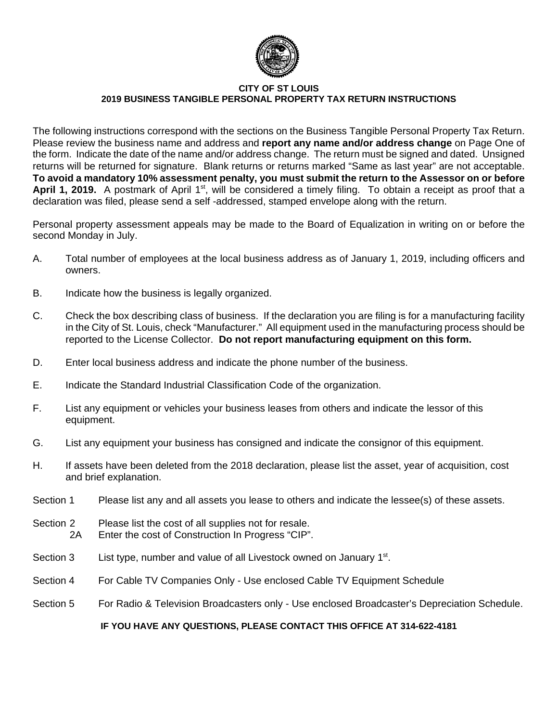

#### **CITY OF ST LOUIS 2019 BUSINESS TANGIBLE PERSONAL PROPERTY TAX RETURN INSTRUCTIONS**

The following instructions correspond with the sections on the Business Tangible Personal Property Tax Return. Please review the business name and address and **report any name and/or address change** on Page One of the form. Indicate the date of the name and/or address change. The return must be signed and dated. Unsigned returns will be returned for signature. Blank returns or returns marked "Same as last year" are not acceptable. **To avoid a mandatory 10% assessment penalty, you must submit the return to the Assessor on or before** April 1, 2019. A postmark of April 1<sup>st</sup>, will be considered a timely filing. To obtain a receipt as proof that a declaration was filed, please send a self -addressed, stamped envelope along with the return.

Personal property assessment appeals may be made to the Board of Equalization in writing on or before the second Monday in July.

- A. Total number of employees at the local business address as of January 1, 2019, including officers and owners.
- B. Indicate how the business is legally organized.
- C. Check the box describing class of business. If the declaration you are filing is for a manufacturing facility in the City of St. Louis, check "Manufacturer." All equipment used in the manufacturing process should be reported to the License Collector. **Do not report manufacturing equipment on this form.**
- D. Enter local business address and indicate the phone number of the business.
- E. Indicate the Standard Industrial Classification Code of the organization.
- F. List any equipment or vehicles your business leases from others and indicate the lessor of this equipment.
- G. List any equipment your business has consigned and indicate the consignor of this equipment.
- H. If assets have been deleted from the 2018 declaration, please list the asset, year of acquisition, cost and brief explanation.
- Section 1 Please list any and all assets you lease to others and indicate the lessee(s) of these assets.
- Section 2 Please list the cost of all supplies not for resale. 2A Enter the cost of Construction In Progress "CIP".
- Section  $3$  List type, number and value of all Livestock owned on January  $1<sup>st</sup>$ .
- Section 4 For Cable TV Companies Only Use enclosed Cable TV Equipment Schedule
- Section 5 For Radio & Television Broadcasters only Use enclosed Broadcaster's Depreciation Schedule.

### **IF YOU HAVE ANY QUESTIONS, PLEASE CONTACT THIS OFFICE AT 314-622-4181**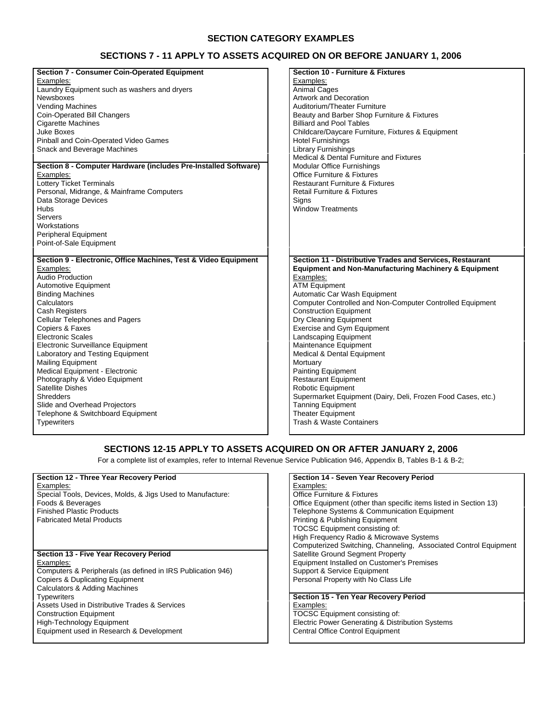#### **SECTION CATEGORY EXAMPLES**

### **SECTIONS 7 - 11 APPLY TO ASSETS ACQUIRED ON OR BEFORE JANUARY 1, 2006**

| <b>Section 7 - Consumer Coin-Operated Equipment</b>             | <b>Section 10 - Furniture &amp; Fixtures</b>                     |
|-----------------------------------------------------------------|------------------------------------------------------------------|
| Examples:                                                       | Examples:                                                        |
| Laundry Equipment such as washers and dryers                    | <b>Animal Cages</b>                                              |
| Newsboxes                                                       | <b>Artwork and Decoration</b>                                    |
| <b>Vending Machines</b>                                         | Auditorium/Theater Furniture                                     |
| Coin-Operated Bill Changers                                     | Beauty and Barber Shop Furniture & Fixtures                      |
| <b>Cigarette Machines</b>                                       | <b>Billiard and Pool Tables</b>                                  |
| <b>Juke Boxes</b>                                               | Childcare/Daycare Furniture, Fixtures & Equipment                |
| Pinball and Coin-Operated Video Games                           | <b>Hotel Furnishings</b>                                         |
| Snack and Beverage Machines                                     | <b>Library Furnishings</b>                                       |
|                                                                 | Medical & Dental Furniture and Fixtures                          |
| Section 8 - Computer Hardware (includes Pre-Installed Software) | Modular Office Furnishings                                       |
| Examples:                                                       | <b>Office Furniture &amp; Fixtures</b>                           |
| <b>Lottery Ticket Terminals</b>                                 | <b>Restaurant Furniture &amp; Fixtures</b>                       |
| Personal, Midrange, & Mainframe Computers                       | <b>Retail Furniture &amp; Fixtures</b>                           |
| Data Storage Devices                                            | Signs                                                            |
| Hubs                                                            | <b>Window Treatments</b>                                         |
| Servers                                                         |                                                                  |
| Workstations                                                    |                                                                  |
|                                                                 |                                                                  |
| Peripheral Equipment                                            |                                                                  |
| Point-of-Sale Equipment                                         |                                                                  |
|                                                                 |                                                                  |
|                                                                 |                                                                  |
| Section 9 - Electronic, Office Machines, Test & Video Equipment | Section 11 - Distributive Trades and Services, Restaurant        |
| Examples:                                                       | <b>Equipment and Non-Manufacturing Machinery &amp; Equipment</b> |
| <b>Audio Production</b>                                         | Examples:                                                        |
| Automotive Equipment                                            | <b>ATM Equipment</b>                                             |
| <b>Binding Machines</b>                                         | Automatic Car Wash Equipment                                     |
| Calculators                                                     | Computer Controlled and Non-Computer Controlled Equipment        |
| <b>Cash Registers</b>                                           | <b>Construction Equipment</b>                                    |
| <b>Cellular Telephones and Pagers</b>                           | Dry Cleaning Equipment                                           |
| Copiers & Faxes                                                 | Exercise and Gym Equipment                                       |
| <b>Electronic Scales</b>                                        | <b>Landscaping Equipment</b>                                     |
| Electronic Surveillance Equipment                               | Maintenance Equipment                                            |
| Laboratory and Testing Equipment                                | Medical & Dental Equipment                                       |
| <b>Mailing Equipment</b>                                        | Mortuary                                                         |
| Medical Equipment - Electronic                                  | <b>Painting Equipment</b>                                        |
| Photography & Video Equipment                                   | <b>Restaurant Equipment</b>                                      |
| Satellite Dishes                                                | <b>Robotic Equipment</b>                                         |
| <b>Shredders</b>                                                | Supermarket Equipment (Dairy, Deli, Frozen Food Cases, etc.)     |
| Slide and Overhead Projectors                                   | <b>Tanning Equipment</b>                                         |
| Telephone & Switchboard Equipment                               | <b>Theater Equipment</b>                                         |
| <b>Typewriters</b>                                              | Trash & Waste Containers                                         |

### **SECTIONS 12-15 APPLY TO ASSETS ACQUIRED ON OR AFTER JANUARY 2, 2006**

For a complete list of examples, refer to Internal Revenue Service Publication 946, Appendix B, Tables B-1 & B-2;

### Examples:<br>
Special Tools, Devices, Molds, & Jigs Used to Manufacture:<br>
Special Tools, Devices, Molds, & Jigs Used to Manufacture: Special Tools, Devices, Molds, & Jigs Used to Manufacture:

Fabricated Metal Products **Printing & Publishing Equipment** Printing & Publishing Equipment

### **Section 13 - Five Year Recovery Period**

Examples:<br>
Computers & Peripherals (as defined in IRS Publication 946)<br>
Computers & Peripherals (as defined in IRS Publication 946)<br>
Support & Service Equipment Computers & Peripherals (as defined in IRS Publication 946) Copiers & Duplicating Equipment **Personal Property with No Class Life** Personal Property with No Class Life Calculators & Adding Machines Assets Used in Distributive Trades & Services<br>
Construction Equipment<br>
Construction Equipment Construction Equipment<br>
High-Technology Equipment<br>
High-Technology Equipment<br>
TOCSC Equipment consisting & Distr Equipment used in Research & Development

## **Section 12 - Three Year Recovery Period Section 14 - Seven Year Recovery Period** Foods & Beverages **Foods & Beverages** Control of Telephone Control of Telephone Systems & Communication Equipment (other than specific items listed in Section 13) Telephone Systems & Communication Equipment TOCSC Equipment consisting of: High Frequency Radio & Microwave Systems Computerized Switching, Channeling, Associated Control Equipment

# **Section 15 - Ten Year Recovery Period** Electric Power Generating & Distribution Systems<br>Central Office Control Equipment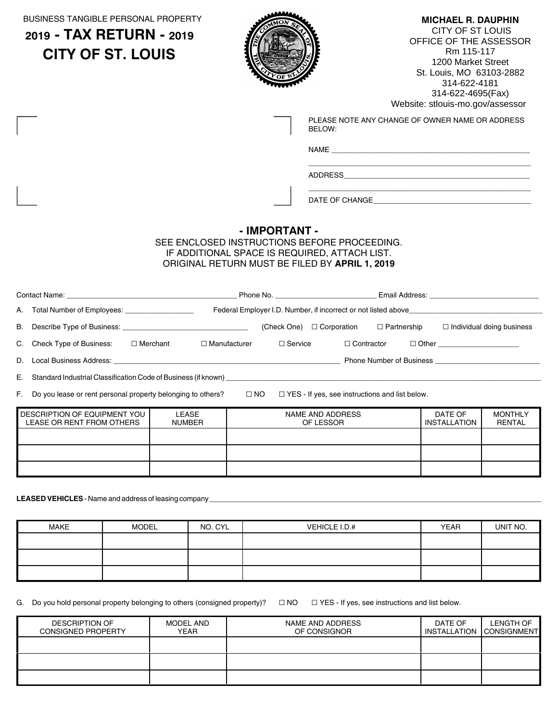BUSINESS TANGIBLE PERSONAL PROPERTY

### **2019 - TAX RETURN - 2019 CITY OF ST. LOUIS**



### **MICHAEL R. DAUPHIN**

 CITY OF ST LOUIS OFFICE OF THE ASSESSOR Rm 115-117 1200 Market Street St. Louis, MO 63103-2882 314-622-4181 314-622-4695(Fax) Website: stlouis-mo.gov/assessor

| PLEASE NOTE ANY CHANGE OF OWNER NAME OR ADDRESS |
|-------------------------------------------------|
| BELOW:                                          |

\_\_\_\_\_\_\_\_\_\_\_\_\_\_\_\_\_\_\_\_\_\_\_\_\_\_\_\_\_\_\_\_\_\_\_\_\_\_\_\_\_\_\_\_\_\_\_\_\_\_\_\_\_\_\_

\_\_\_\_\_\_\_\_\_\_\_\_\_\_\_\_\_\_\_\_\_\_\_\_\_\_\_\_\_\_\_\_\_\_\_\_\_\_\_\_\_\_\_\_\_\_\_\_\_\_\_\_\_\_\_

NAME \_\_\_\_\_\_\_\_\_\_\_\_\_\_\_\_\_\_\_\_\_\_\_\_\_\_\_\_\_\_\_\_\_\_\_\_\_\_\_\_\_\_\_\_\_\_\_\_\_

ADDRESS\_\_\_\_\_\_\_\_\_\_\_\_\_\_\_\_\_\_\_\_\_\_\_\_\_\_\_\_\_\_\_\_\_\_\_\_\_\_\_\_\_\_\_\_\_\_

DATE OF CHANGE\_\_\_\_\_\_\_\_\_\_\_\_\_\_\_\_\_\_\_\_\_\_\_\_\_\_\_\_\_\_\_\_\_\_\_\_\_\_\_

### **- IMPORTANT -**

### SEE ENCLOSED INSTRUCTIONS BEFORE PROCEEDING. IF ADDITIONAL SPACE IS REQUIRED, ATTACH LIST. ORIGINAL RETURN MUST BE FILED BY **APRIL 1, 2019**

|                                                   |                                                                                  | <b>Phone No.</b> The contract of the contract of the contract of the contract of the contract of the contract of the contract of the contract of the contract of the contract of the contract of the contract of the contract of th |                    |                    | Email Address: The Contract of the Contract of the Contract of the Contract of the Contract of the Contract of the Contract of the Contract of the Contract of the Contract of the Contract of the Contract of the Contract of |
|---------------------------------------------------|----------------------------------------------------------------------------------|-------------------------------------------------------------------------------------------------------------------------------------------------------------------------------------------------------------------------------------|--------------------|--------------------|--------------------------------------------------------------------------------------------------------------------------------------------------------------------------------------------------------------------------------|
| A. Total Number of Employees: ___________________ | Federal Employer I.D. Number, if incorrect or not listed above__________________ |                                                                                                                                                                                                                                     |                    |                    |                                                                                                                                                                                                                                |
|                                                   |                                                                                  | (Check One)                                                                                                                                                                                                                         | $\Box$ Corporation | $\Box$ Partnership | $\Box$ Individual doing business                                                                                                                                                                                               |
| C. Check Type of Business:<br>$\Box$ Merchant     | $\Box$ Manufacturer                                                              | $\Box$ Service                                                                                                                                                                                                                      | $\Box$ Contractor  |                    | □ Other _________________                                                                                                                                                                                                      |
|                                                   |                                                                                  |                                                                                                                                                                                                                                     |                    |                    | Phone Number of Business <b>Example 20</b>                                                                                                                                                                                     |
|                                                   |                                                                                  |                                                                                                                                                                                                                                     |                    |                    |                                                                                                                                                                                                                                |

F. Do you lease or rent personal property belonging to others?  $\Box$  NO  $\Box$  YES - If yes, see instructions and list below.

| DESCRIPTION OF EQUIPMENT YOU<br>LEASE OR RENT FROM OTHERS | LEASE<br><b>NUMBER</b> | NAME AND ADDRESS<br>OF LESSOR | DATE OF<br>INSTALLATION | <b>MONTHLY</b><br><b>RENTAL</b> |
|-----------------------------------------------------------|------------------------|-------------------------------|-------------------------|---------------------------------|
|                                                           |                        |                               |                         |                                 |
|                                                           |                        |                               |                         |                                 |
|                                                           |                        |                               |                         |                                 |

LEASED VEHICLES - Name and address of leasing company

| <b>MAKE</b> | <b>MODEL</b> | NO. CYL | VEHICLE I.D.# | <b>YEAR</b> | UNIT NO. |
|-------------|--------------|---------|---------------|-------------|----------|
|             |              |         |               |             |          |
|             |              |         |               |             |          |
|             |              |         |               |             |          |

G. Do you hold personal property belonging to others (consigned property)?  $\Box$  NO  $\Box$  YES - If yes, see instructions and list below.

| <b>DESCRIPTION OF</b><br><b>CONSIGNED PROPERTY</b> | MODEL AND<br><b>YEAR</b> | NAME AND ADDRESS<br>OF CONSIGNOR | DATE OF | LENGTH OF<br>INSTALLATION CONSIGNMENT |
|----------------------------------------------------|--------------------------|----------------------------------|---------|---------------------------------------|
|                                                    |                          |                                  |         |                                       |
|                                                    |                          |                                  |         |                                       |
|                                                    |                          |                                  |         |                                       |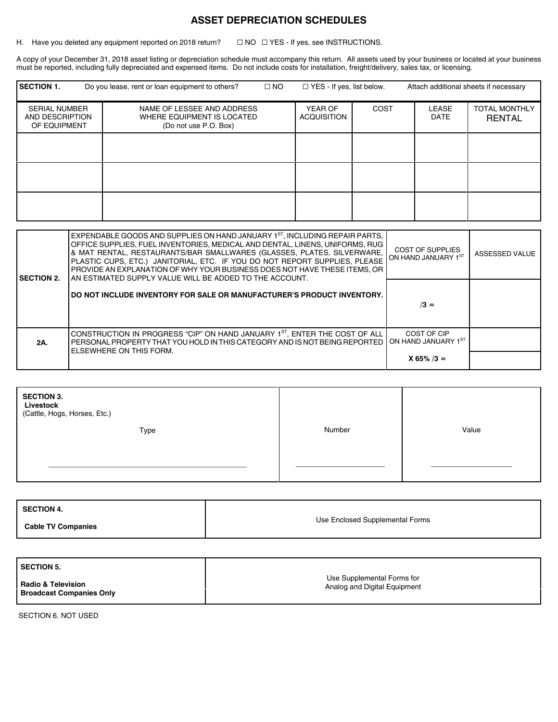### **ASSET DEPRECIATION SCHEDULES**

H. Have you deleted any equipment reported on 2018 return?  $\square$  NO  $\square$  YES - If yes, see INSTRUCTIONS.

A copy of your December 31, 2018 asset listing or depreciation schedule must accompany this return. All assets used by your business or located at your business must be reported, including fully depreciated and expensed items. Do not include costs for installation, freight/delivery, sales tax, or licensing.

| <b>SECTION 1.</b>                                       | Do you lease, rent or loan equipment to others?                                   | $\Box$ NO | $\Box$ YES - If yes, list below. |      |                             | Attach additional sheets if necessary |
|---------------------------------------------------------|-----------------------------------------------------------------------------------|-----------|----------------------------------|------|-----------------------------|---------------------------------------|
| <b>SERIAL NUMBER</b><br>AND DESCRIPTION<br>OF EQUIPMENT | NAME OF LESSEE AND ADDRESS<br>WHERE EQUIPMENT IS LOCATED<br>(Do not use P.O. Box) |           | YEAR OF<br><b>ACQUISITION</b>    | COST | <b>LEASE</b><br><b>DATE</b> | <b>TOTAL MONTHLY</b><br><b>RENTAL</b> |
|                                                         |                                                                                   |           |                                  |      |                             |                                       |
|                                                         |                                                                                   |           |                                  |      |                             |                                       |
|                                                         |                                                                                   |           |                                  |      |                             |                                       |

| <b>SECTION 2.</b> | EXPENDABLE GOODS AND SUPPLIES ON HAND JANUARY 1ST, INCLUDING REPAIR PARTS,<br>OFFICE SUPPLIES. FUEL INVENTORIES. MEDICAL AND DENTAL. LINENS. UNIFORMS. RUG<br>& MAT RENTAL, RESTAURANTS/BAR SMALLWARES (GLASSES, PLATES, SILVERWARE,<br>PLASTIC CUPS, ETC.) JANITORIAL, ETC. IF YOU DO NOT REPORT SUPPLIES, PLEASE<br>PROVIDE AN EXPLANATION OF WHY YOUR BUSINESS DOES NOT HAVE THESE ITEMS. OR<br>I AN ESTIMATED SUPPLY VALUE WILL BE ADDED TO THE ACCOUNT. | <b>COST OF SUPPLIES</b><br>ON HAND JANUARY 1ST | ASSESSED VALUE |
|-------------------|--------------------------------------------------------------------------------------------------------------------------------------------------------------------------------------------------------------------------------------------------------------------------------------------------------------------------------------------------------------------------------------------------------------------------------------------------------------|------------------------------------------------|----------------|
|                   | DO NOT INCLUDE INVENTORY FOR SALE OR MANUFACTURER'S PRODUCT INVENTORY.                                                                                                                                                                                                                                                                                                                                                                                       | $/3 =$                                         |                |
| 2A.               | CONSTRUCTION IN PROGRESS "CIP" ON HAND JANUARY 1 <sup>ST</sup> , ENTER THE COST OF ALL<br>PERSONAL PROPERTY THAT YOU HOLD IN THIS CATEGORY AND IS NOT BEING REPORTED<br>ELSEWHERE ON THIS FORM.                                                                                                                                                                                                                                                              | COST OF CIP<br>ON HAND JANUARY 1ST             |                |
|                   |                                                                                                                                                                                                                                                                                                                                                                                                                                                              | $X 65\% / 3 =$                                 |                |

| <b>SECTION 3.</b><br>Livestock<br>(Cattle, Hogs, Horses, Etc.) |      |        |       |
|----------------------------------------------------------------|------|--------|-------|
|                                                                | Type | Number | Value |
|                                                                |      |        |       |
|                                                                |      |        |       |
|                                                                |      |        |       |
|                                                                |      |        |       |

| <b>SECTION 4</b>          |                                 |
|---------------------------|---------------------------------|
| <b>Cable TV Companies</b> | Use Enclosed Supplemental Forms |

| <b>SECTION 5.</b>               |                              |
|---------------------------------|------------------------------|
| <b>Radio &amp; Television</b>   | Use Supplemental Forms for   |
| <b>Broadcast Companies Only</b> | Analog and Digital Equipment |

SECTION 6. NOT USED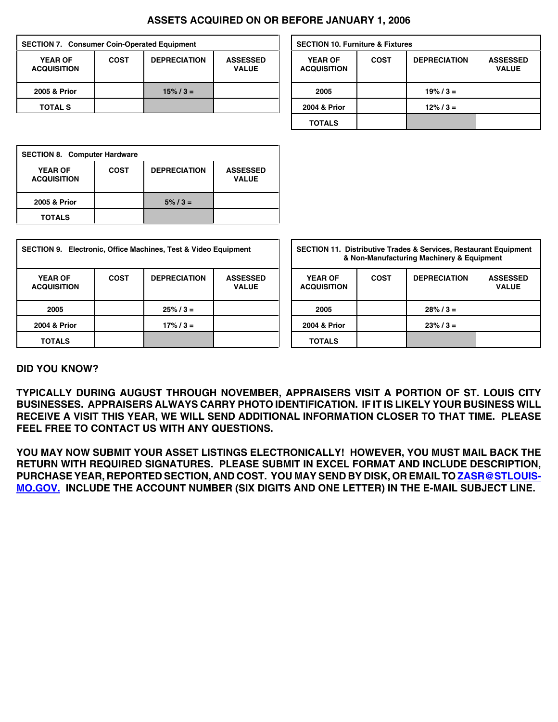### **ASSETS ACQUIRED ON OR BEFORE JANUARY 1, 2006**

| <b>SECTION 7. Consumer Coin-Operated Equipment</b> |             |                     | <b>SECTION 10. Furniture &amp; Fixtures</b> |                                      |             |                  |
|----------------------------------------------------|-------------|---------------------|---------------------------------------------|--------------------------------------|-------------|------------------|
| <b>YEAR OF</b><br><b>ACQUISITION</b>               | <b>COST</b> | <b>DEPRECIATION</b> | <b>ASSESSED</b><br><b>VALUE</b>             | <b>YEAR OF</b><br><b>ACQUISITION</b> | <b>COST</b> | <b>DEPRECIAT</b> |
| 2005 & Prior                                       |             | $15\% / 3 =$        |                                             | 2005                                 |             | $19\% / 3 =$     |
| <b>TOTAL S</b>                                     |             |                     |                                             | 2004 & Prior                         |             | $12\% / 3 =$     |

| <b>SECTION 8. Computer Hardware</b>  |      |                     |                                 |  |  |  |  |
|--------------------------------------|------|---------------------|---------------------------------|--|--|--|--|
| <b>YEAR OF</b><br><b>ACQUISITION</b> | COST | <b>DEPRECIATION</b> | <b>ASSESSED</b><br><b>VALUE</b> |  |  |  |  |
| 2005 & Prior                         |      | $5\% / 3 =$         |                                 |  |  |  |  |
| <b>TOTALS</b>                        |      |                     |                                 |  |  |  |  |

| <b>SECTION 9. Electronic, Office Machines, Test &amp; Video Equipment</b> |             |                     |                                 | <b>SECTION 11. Distributive Trades &amp; Services, Restaurant Equipment</b><br>& Non-Manufacturing Machinery & Equipment |             |                     |                                 |  |
|---------------------------------------------------------------------------|-------------|---------------------|---------------------------------|--------------------------------------------------------------------------------------------------------------------------|-------------|---------------------|---------------------------------|--|
| <b>YEAR OF</b><br><b>ACQUISITION</b>                                      | <b>COST</b> | <b>DEPRECIATION</b> | <b>ASSESSED</b><br><b>VALUE</b> | <b>YEAR OF</b><br><b>ACQUISITION</b>                                                                                     | <b>COST</b> | <b>DEPRECIATION</b> | <b>ASSESSED</b><br><b>VALUE</b> |  |
| 2005                                                                      |             | $25\% / 3 =$        |                                 | 2005                                                                                                                     |             | $28\% / 3 =$        |                                 |  |
| 2004 & Prior                                                              |             | $17\% / 3 =$        |                                 | 2004 & Prior                                                                                                             |             | $23\% / 3 =$        |                                 |  |
| <b>TOTALS</b>                                                             |             |                     |                                 | <b>TOTALS</b>                                                                                                            |             |                     |                                 |  |

| <b>SECTION 10. Furniture &amp; Fixtures</b> |             |                     |                                 |  |  |  |  |  |
|---------------------------------------------|-------------|---------------------|---------------------------------|--|--|--|--|--|
| <b>YEAR OF</b><br><b>ACQUISITION</b>        | <b>COST</b> | <b>DEPRECIATION</b> | <b>ASSESSED</b><br><b>VALUE</b> |  |  |  |  |  |
| 2005                                        |             | $19\% / 3 =$        |                                 |  |  |  |  |  |
| 2004 & Prior                                |             | $12\% / 3 =$        |                                 |  |  |  |  |  |
| <b>TOTALS</b>                               |             |                     |                                 |  |  |  |  |  |

| <b>SECTION 11. Distributive Trades &amp; Services, Restaurant Equipment</b><br>& Non-Manufacturing Machinery & Equipment |                                                                       |              |  |  |  |  |
|--------------------------------------------------------------------------------------------------------------------------|-----------------------------------------------------------------------|--------------|--|--|--|--|
| <b>YEAR OF</b><br><b>ACQUISITION</b>                                                                                     | <b>COST</b><br><b>DEPRECIATION</b><br><b>ASSESSED</b><br><b>VALUE</b> |              |  |  |  |  |
| 2005                                                                                                                     |                                                                       | $28\%$ / 3 = |  |  |  |  |
| 2004 & Prior                                                                                                             |                                                                       | $23\% / 3 =$ |  |  |  |  |
| TOTALS                                                                                                                   |                                                                       |              |  |  |  |  |

### **DID YOU KNOW?**

**TYPICALLY DURING AUGUST THROUGH NOVEMBER, APPRAISERS VISIT A PORTION OF ST. LOUIS CITY BUSINESSES. APPRAISERS ALWAYS CARRY PHOTO IDENTIFICATION. IF IT IS LIKELY YOUR BUSINESS WILL RECEIVE A VISIT THIS YEAR, WE WILL SEND ADDITIONAL INFORMATION CLOSER TO THAT TIME. PLEASE FEEL FREE TO CONTACT US WITH ANY QUESTIONS.**

**YOU MAY NOW SUBMIT YOUR ASSET LISTINGS ELECTRONICALLY! HOWEVER, YOU MUST MAIL BACK THE RETURN WITH REQUIRED SIGNATURES. PLEASE SUBMIT IN EXCEL FORMAT AND INCLUDE DESCRIPTION, PURCHASE YEAR, REPORTED SECTION, AND COST. YOU MAY SEND BY DISK, OR EMAIL TO ZASR@STLOUIS-MO.GOV. INCLUDE THE ACCOUNT NUMBER (SIX DIGITS AND ONE LETTER) IN THE E-MAIL SUBJECT LINE.**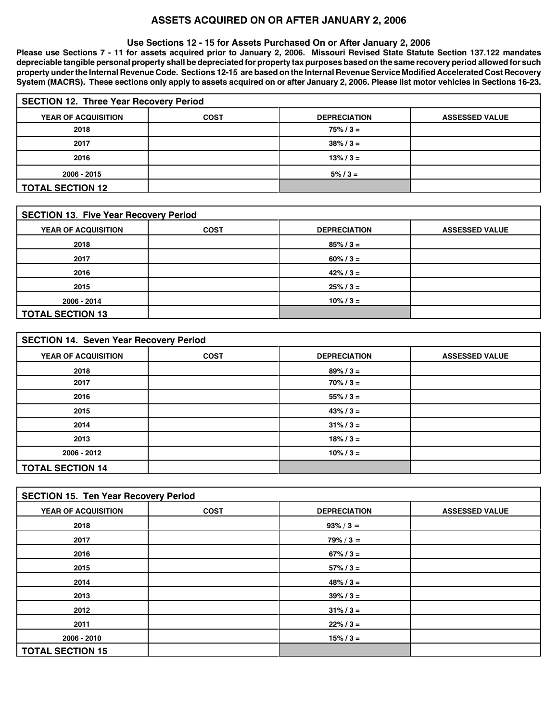### **ASSETS ACQUIRED ON OR AFTER JANUARY 2, 2006**

#### **Use Sections 12 - 15 for Assets Purchased On or After January 2, 2006**

**Please use Sections 7 - 11 for assets acquired prior to January 2, 2006. Missouri Revised State Statute Section 137.122 mandates depreciable tangible personal property shall be depreciated for property tax purposes based on the same recovery period allowed for such property under the Internal Revenue Code. Sections 12-15 are based on the Internal Revenue Service Modified Accelerated Cost Recovery System (MACRS). These sections only apply to assets acquired on or after January 2, 2006. Please list motor vehicles in Sections 16-23.**

| <b>SECTION 12. Three Year Recovery Period</b> |             |                       |                       |  |  |  |  |  |
|-----------------------------------------------|-------------|-----------------------|-----------------------|--|--|--|--|--|
| <b>YEAR OF ACQUISITION</b>                    | <b>COST</b> | <b>DEPRECIATION</b>   | <b>ASSESSED VALUE</b> |  |  |  |  |  |
| 2018                                          |             | $75\% / 3 =$          |                       |  |  |  |  |  |
| 2017                                          |             | $38\frac{1}{6}$ / 3 = |                       |  |  |  |  |  |
| 2016                                          |             | $13\frac{1}{6}$ / 3 = |                       |  |  |  |  |  |
| 2006 - 2015                                   |             | $5\% / 3 =$           |                       |  |  |  |  |  |
| <b>TOTAL SECTION 12</b>                       |             |                       |                       |  |  |  |  |  |

| <b>SECTION 13. Five Year Recovery Period</b> |             |                     |                       |  |  |  |  |
|----------------------------------------------|-------------|---------------------|-----------------------|--|--|--|--|
| YEAR OF ACQUISITION                          | <b>COST</b> | <b>DEPRECIATION</b> | <b>ASSESSED VALUE</b> |  |  |  |  |
| 2018                                         |             | $85\% / 3 =$        |                       |  |  |  |  |
| 2017                                         |             | $60\% / 3 =$        |                       |  |  |  |  |
| 2016                                         |             | $42\% / 3 =$        |                       |  |  |  |  |
| 2015                                         |             | $25\% / 3 =$        |                       |  |  |  |  |
| 2006 - 2014                                  |             | $10\% / 3 =$        |                       |  |  |  |  |
| <b>TOTAL SECTION 13</b>                      |             |                     |                       |  |  |  |  |

| <b>SECTION 14. Seven Year Recovery Period</b> |             |                         |                       |  |  |  |  |
|-----------------------------------------------|-------------|-------------------------|-----------------------|--|--|--|--|
| YEAR OF ACQUISITION                           | <b>COST</b> | <b>DEPRECIATION</b>     | <b>ASSESSED VALUE</b> |  |  |  |  |
| 2018                                          |             | $89\% / 3 =$            |                       |  |  |  |  |
| 2017                                          |             | $70\% / 3 =$            |                       |  |  |  |  |
| 2016                                          |             | $55\% / 3 =$            |                       |  |  |  |  |
| 2015                                          |             | $43\% / 3 =$            |                       |  |  |  |  |
| 2014                                          |             | $31\frac{1}{6}$ / $3 =$ |                       |  |  |  |  |
| 2013                                          |             | $18\% / 3 =$            |                       |  |  |  |  |
| 2006 - 2012                                   |             | $10\% / 3 =$            |                       |  |  |  |  |
| <b>TOTAL SECTION 14</b>                       |             |                         |                       |  |  |  |  |

| <b>SECTION 15. Ten Year Recovery Period</b> |             |                         |                       |  |  |  |  |
|---------------------------------------------|-------------|-------------------------|-----------------------|--|--|--|--|
| YEAR OF ACQUISITION                         | <b>COST</b> | <b>DEPRECIATION</b>     | <b>ASSESSED VALUE</b> |  |  |  |  |
| 2018                                        |             | $93\% / 3 =$            |                       |  |  |  |  |
| 2017                                        |             | $79\% / 3 =$            |                       |  |  |  |  |
| 2016                                        |             | $67\% / 3 =$            |                       |  |  |  |  |
| 2015                                        |             | $57\% / 3 =$            |                       |  |  |  |  |
| 2014                                        |             | $48\% / 3 =$            |                       |  |  |  |  |
| 2013                                        |             | $39\% / 3 =$            |                       |  |  |  |  |
| 2012                                        |             | $31\frac{1}{6}$ / $3 =$ |                       |  |  |  |  |
| 2011                                        |             | $22\% / 3 =$            |                       |  |  |  |  |
| 2006 - 2010                                 |             | $15\% / 3 =$            |                       |  |  |  |  |
| <b>TOTAL SECTION 15</b>                     |             |                         |                       |  |  |  |  |